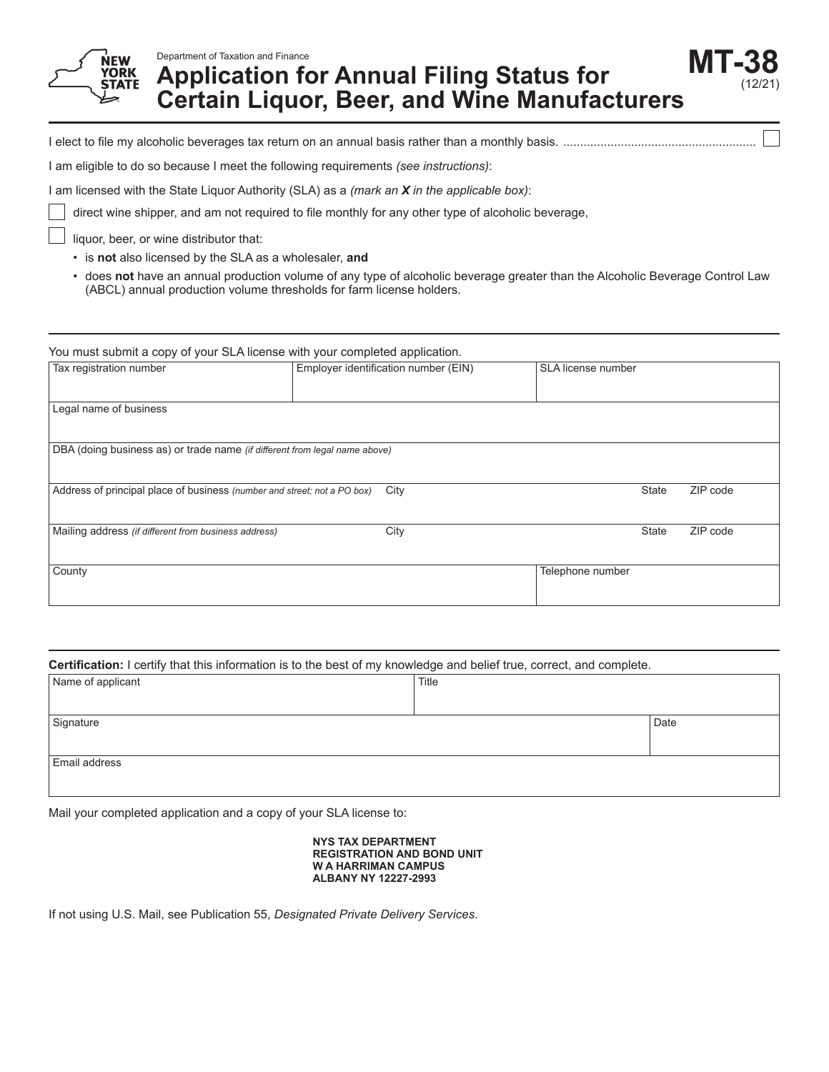

### Department of Taxation and Finance **Application for Annual Filing Status for Certain Liquor, Beer, and Wine Manufacturers MT-38**

(12/21)

I elect to file my alcoholic beverages tax return on an annual basis rather than a monthly basis. .........................................................

I am eligible to do so because I meet the following requirements *(see instructions)*:

I am licensed with the State Liquor Authority (SLA) as a *(mark an X in the applicable box)*:

direct wine shipper, and am not required to file monthly for any other type of alcoholic beverage,

liquor, beer, or wine distributor that:

- is **not** also licensed by the SLA as a wholesaler, **and**
- does **not** have an annual production volume of any type of alcoholic beverage greater than the Alcoholic Beverage Control Law (ABCL) annual production volume thresholds for farm license holders.

You must submit a copy of your SLA license with your completed application.

| Tax registration number                                                           | Employer identification number (EIN) | SLA license number |       |          |
|-----------------------------------------------------------------------------------|--------------------------------------|--------------------|-------|----------|
|                                                                                   |                                      |                    |       |          |
| Legal name of business                                                            |                                      |                    |       |          |
|                                                                                   |                                      |                    |       |          |
| DBA (doing business as) or trade name <i>(if different from legal name above)</i> |                                      |                    |       |          |
|                                                                                   |                                      |                    |       |          |
| Address of principal place of business (number and street; not a PO box)          | City                                 |                    | State | ZIP code |
|                                                                                   |                                      |                    |       |          |
| Mailing address (if different from business address)                              | City                                 |                    | State | ZIP code |
|                                                                                   |                                      |                    |       |          |
| County                                                                            |                                      | Telephone number   |       |          |
|                                                                                   |                                      |                    |       |          |

**Certification:** I certify that this information is to the best of my knowledge and belief true, correct, and complete.

| Name of applicant | Title |      |
|-------------------|-------|------|
|                   |       |      |
| Signature         |       | Date |
|                   |       |      |
| Email address     |       |      |
|                   |       |      |

Mail your completed application and a copy of your SLA license to:

**NYS TAX DEPARTMENT REGISTRATION AND BOND UNIT W A HARRIMAN CAMPUS ALBANY NY 12227-2993**

If not using U.S. Mail, see Publication 55, *Designated Private Delivery Services*.